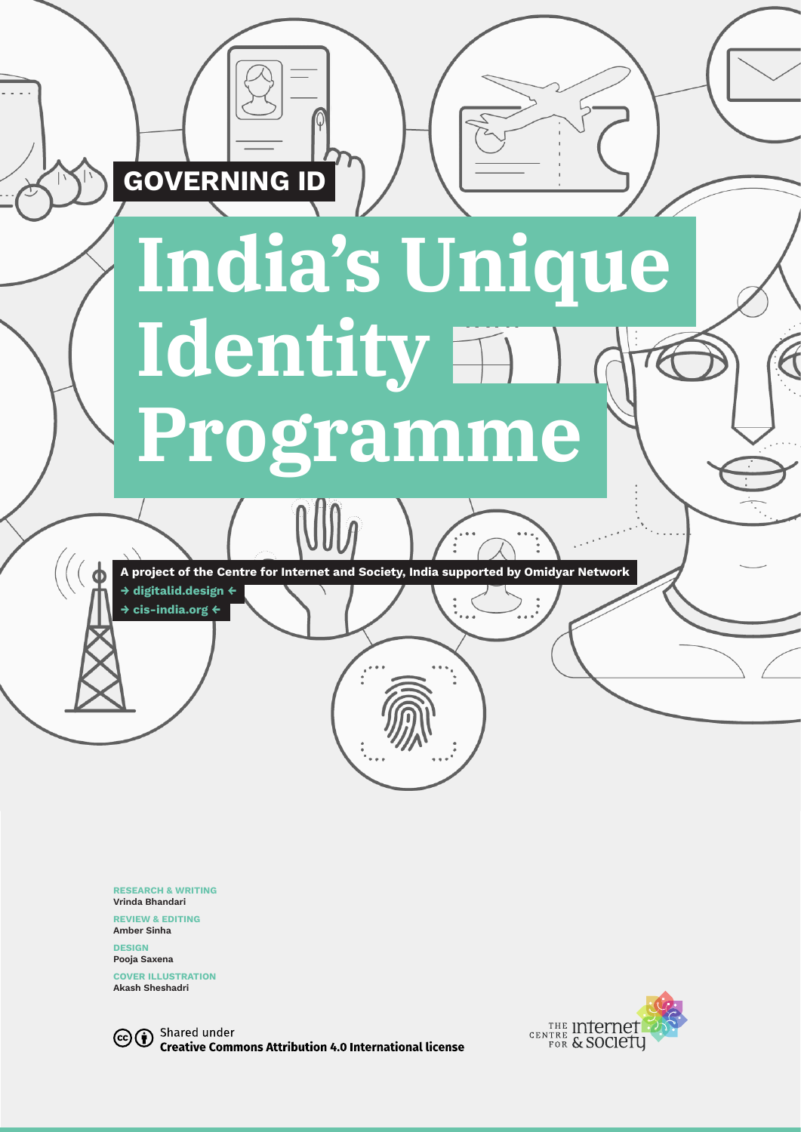

**RESEARCH & WRITING Vrinda Bhandari**

**REVIEW & EDITING Amber Sinha**

**DESIGN Pooja Saxena** 

**COVER ILLUSTRATION Akash Sheshadri**



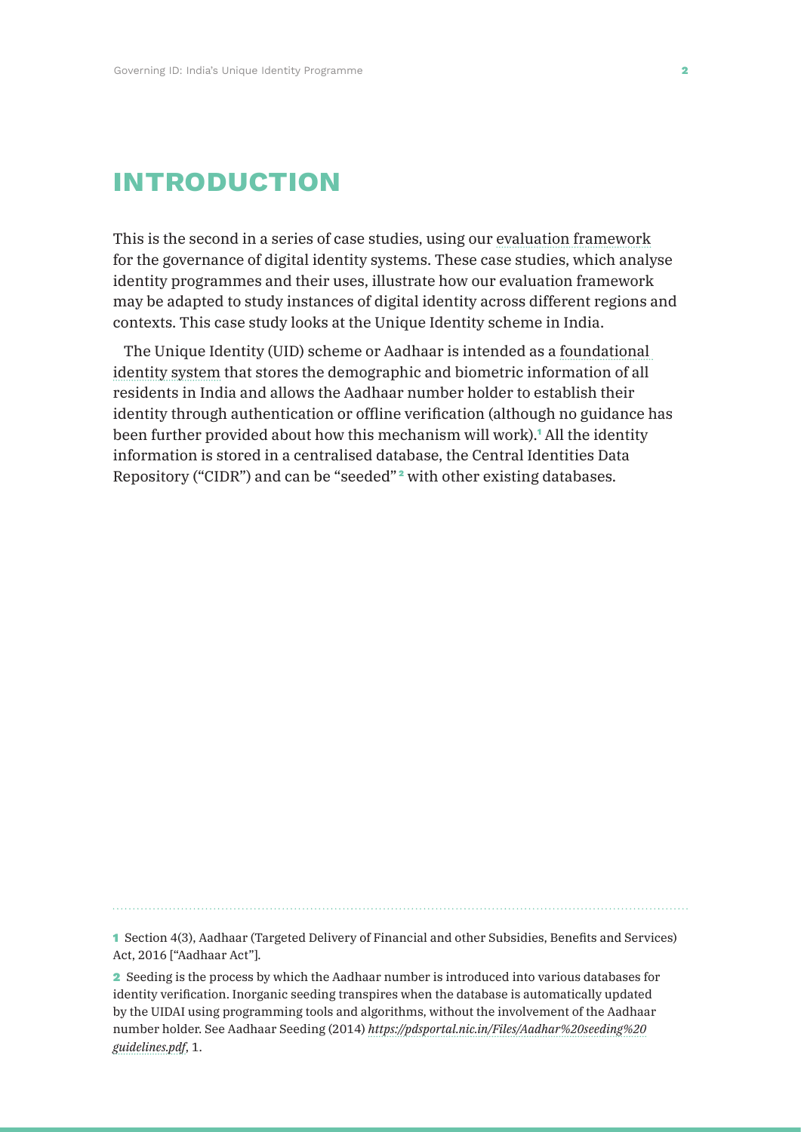## **introduction**

This is the second in a series of case studies, using our evaluation framework for the governance of digital identity systems. These case studies, which analyse identity programmes and their uses, illustrate how our evaluation framework may be adapted to study instances of digital identity across different regions and contexts. This case study looks at the Unique Identity scheme in India.

The Unique Identity (UID) scheme or Aadhaar is intended as a foundational identity system that stores the demographic and biometric information of all residents in India and allows the Aadhaar number holder to establish their identity through authentication or offline verification (although no guidance has been further provided about how this mechanism will work).<sup>1</sup> All the identity information is stored in a centralised database, the Central Identities Data Repository ("CIDR") and can be "seeded" <sup>2</sup> with other existing databases.

1 Section 4(3), Aadhaar (Targeted Delivery of Financial and other Subsidies, Benefits and Services) Act, 2016 ["Aadhaar Act"].

2 Seeding is the process by which the Aadhaar number is introduced into various databases for identity verification. Inorganic seeding transpires when the database is automatically updated by the UIDAI using programming tools and algorithms, without the involvement of the Aadhaar number holder. See Aadhaar Seeding (2014) *https://pdsportal.nic.in/Files/Aadhar%20seeding%20 guidelines.pdf*, 1.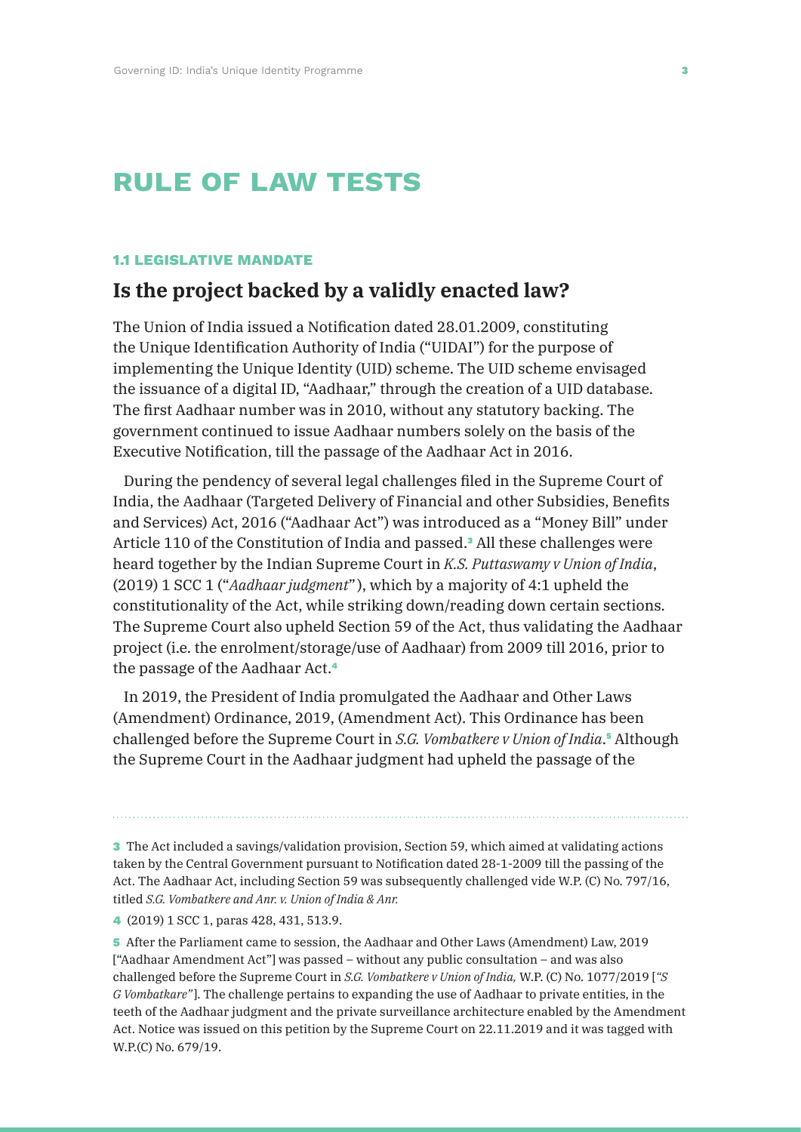# **rule of law tests**

#### **1.1 LEGISLATIVE MANDATE**

### **Is the project backed by a validly enacted law?**

The Union of India issued a Notification dated 28.01.2009, constituting the Unique Identification Authority of India ("UIDAI") for the purpose of implementing the Unique Identity (UID) scheme. The UID scheme envisaged the issuance of a digital ID, "Aadhaar," through the creation of a UID database. The first Aadhaar number was in 2010, without any statutory backing. The government continued to issue Aadhaar numbers solely on the basis of the Executive Notification, till the passage of the Aadhaar Act in 2016.

During the pendency of several legal challenges filed in the Supreme Court of India, the Aadhaar (Targeted Delivery of Financial and other Subsidies, Benefits and Services) Act, 2016 ("Aadhaar Act") was introduced as a "Money Bill" under Article 110 of the Constitution of India and passed.<sup>3</sup> All these challenges were heard together by the Indian Supreme Court in *K.S. Puttaswamy v Union of India*, (2019) 1 SCC 1 ("*Aadhaar judgment*" ), which by a majority of 4:1 upheld the constitutionality of the Act, while striking down/reading down certain sections. The Supreme Court also upheld Section 59 of the Act, thus validating the Aadhaar project (i.e. the enrolment/storage/use of Aadhaar) from 2009 till 2016, prior to the passage of the Aadhaar Act.<sup>4</sup>

In 2019, the President of India promulgated the Aadhaar and Other Laws (Amendment) Ordinance, 2019, (Amendment Act). This Ordinance has been challenged before the Supreme Court in *S.G. Vombatkere v Union of India*. <sup>5</sup> Although the Supreme Court in the Aadhaar judgment had upheld the passage of the

3 The Act included a savings/validation provision, Section 59, which aimed at validating actions taken by the Central Government pursuant to Notification dated 28-1-2009 till the passing of the Act. The Aadhaar Act, including Section 59 was subsequently challenged vide W.P. (C) No. 797/16, titled *S.G. Vombatkere and Anr. v. Union of India & Anr.*

4 (2019) 1 SCC 1, paras 428, 431, 513.9.

5 After the Parliament came to session, the Aadhaar and Other Laws (Amendment) Law, 2019 ["Aadhaar Amendment Act"] was passed – without any public consultation – and was also challenged before the Supreme Court in *S.G. Vombatkere v Union of India,* W.P. (C) No. 1077/2019 [*"S G Vombatkare"* ]. The challenge pertains to expanding the use of Aadhaar to private entities, in the teeth of the Aadhaar judgment and the private surveillance architecture enabled by the Amendment Act. Notice was issued on this petition by the Supreme Court on 22.11.2019 and it was tagged with W.P.(C) No. 679/19.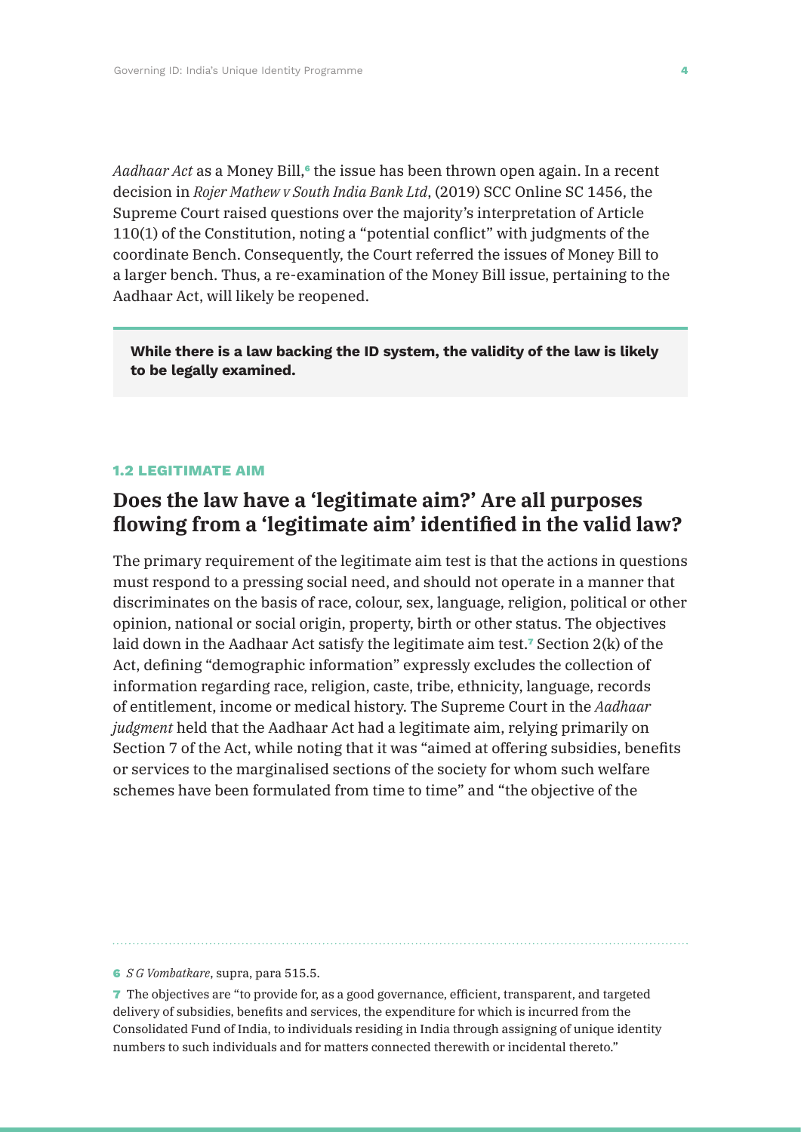*Aadhaar Act* as a Money Bill,<sup>6</sup> the issue has been thrown open again. In a recent decision in *Rojer Mathew v South India Bank Ltd*, (2019) SCC Online SC 1456, the Supreme Court raised questions over the majority's interpretation of Article 110(1) of the Constitution, noting a "potential conflict" with judgments of the coordinate Bench. Consequently, the Court referred the issues of Money Bill to a larger bench. Thus, a re-examination of the Money Bill issue, pertaining to the Aadhaar Act, will likely be reopened.

**While there is a law backing the ID system, the validity of the law is likely to be legally examined.**

#### **1.2 LEGITIMATE AIM**

### **Does the law have a 'legitimate aim?' Are all purposes flowing from a 'legitimate aim' identified in the valid law?**

The primary requirement of the legitimate aim test is that the actions in questions must respond to a pressing social need, and should not operate in a manner that discriminates on the basis of race, colour, sex, language, religion, political or other opinion, national or social origin, property, birth or other status. The objectives laid down in the Aadhaar Act satisfy the legitimate aim test.<sup>7</sup> Section 2(k) of the Act, defining "demographic information" expressly excludes the collection of information regarding race, religion, caste, tribe, ethnicity, language, records of entitlement, income or medical history. The Supreme Court in the *Aadhaar judgment* held that the Aadhaar Act had a legitimate aim, relying primarily on Section 7 of the Act, while noting that it was "aimed at offering subsidies, benefits or services to the marginalised sections of the society for whom such welfare schemes have been formulated from time to time" and "the objective of the

6 *S G Vombatkare*, supra, para 515.5.

7 The objectives are "to provide for, as a good governance, efficient, transparent, and targeted delivery of subsidies, benefits and services, the expenditure for which is incurred from the Consolidated Fund of India, to individuals residing in India through assigning of unique identity numbers to such individuals and for matters connected therewith or incidental thereto."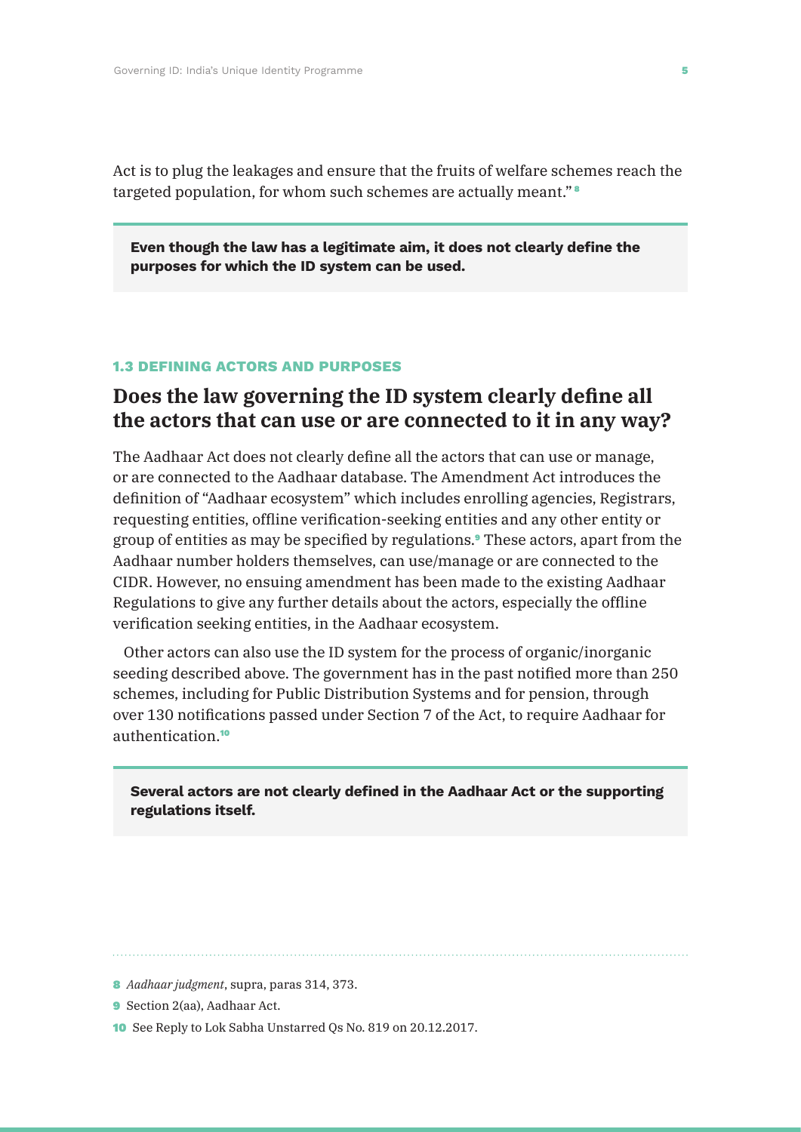Act is to plug the leakages and ensure that the fruits of welfare schemes reach the targeted population, for whom such schemes are actually meant." <sup>8</sup>

**Even though the law has a legitimate aim, it does not clearly define the purposes for which the ID system can be used.**

#### **1.3 DEFINING ACTORS AND PURPOSES**

### **Does the law governing the ID system clearly define all the actors that can use or are connected to it in any way?**

The Aadhaar Act does not clearly define all the actors that can use or manage, or are connected to the Aadhaar database. The Amendment Act introduces the definition of "Aadhaar ecosystem" which includes enrolling agencies, Registrars, requesting entities, offline verification-seeking entities and any other entity or group of entities as may be specified by regulations.9 These actors, apart from the Aadhaar number holders themselves, can use/manage or are connected to the CIDR. However, no ensuing amendment has been made to the existing Aadhaar Regulations to give any further details about the actors, especially the offline verification seeking entities, in the Aadhaar ecosystem.

Other actors can also use the ID system for the process of organic/inorganic seeding described above. The government has in the past notified more than 250 schemes, including for Public Distribution Systems and for pension, through over 130 notifications passed under Section 7 of the Act, to require Aadhaar for authentication.<sup>10</sup>

**Several actors are not clearly defined in the Aadhaar Act or the supporting regulations itself.**

10 See Reply to Lok Sabha Unstarred Qs No. 819 on 20.12.2017.

<sup>8</sup> *Aadhaar judgment*, supra, paras 314, 373.

<sup>9</sup> Section 2(aa), Aadhaar Act.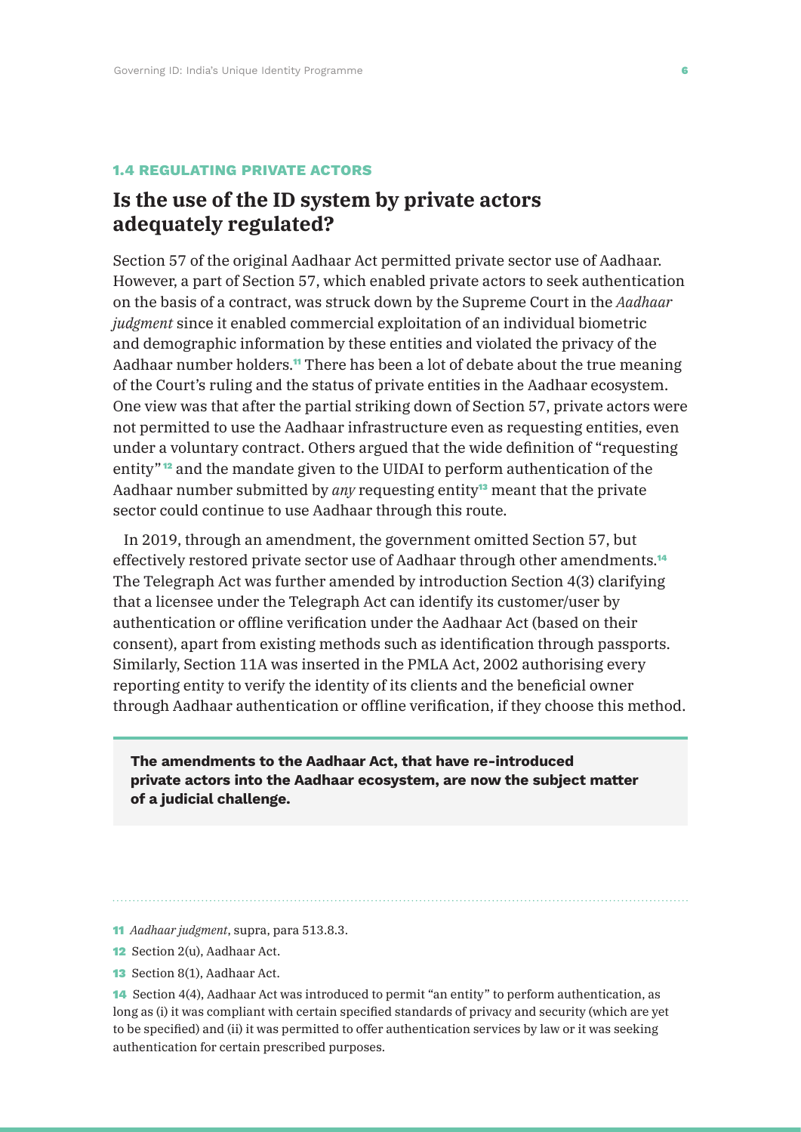#### **1.4 REGULATING PRIVATE ACTORS**

### **Is the use of the ID system by private actors adequately regulated?**

Section 57 of the original Aadhaar Act permitted private sector use of Aadhaar. However, a part of Section 57, which enabled private actors to seek authentication on the basis of a contract, was struck down by the Supreme Court in the *Aadhaar judgment* since it enabled commercial exploitation of an individual biometric and demographic information by these entities and violated the privacy of the Aadhaar number holders.<sup>11</sup> There has been a lot of debate about the true meaning of the Court's ruling and the status of private entities in the Aadhaar ecosystem. One view was that after the partial striking down of Section 57, private actors were not permitted to use the Aadhaar infrastructure even as requesting entities, even under a voluntary contract. Others argued that the wide definition of "requesting entity" <sup>12</sup> and the mandate given to the UIDAI to perform authentication of the Aadhaar number submitted by *any* requesting entity13 meant that the private sector could continue to use Aadhaar through this route.

In 2019, through an amendment, the government omitted Section 57, but effectively restored private sector use of Aadhaar through other amendments.<sup>14</sup> The Telegraph Act was further amended by introduction Section 4(3) clarifying that a licensee under the Telegraph Act can identify its customer/user by authentication or offline verification under the Aadhaar Act (based on their consent), apart from existing methods such as identification through passports. Similarly, Section 11A was inserted in the PMLA Act, 2002 authorising every reporting entity to verify the identity of its clients and the beneficial owner through Aadhaar authentication or offline verification, if they choose this method.

**The amendments to the Aadhaar Act, that have re-introduced private actors into the Aadhaar ecosystem, are now the subject matter of a judicial challenge.**

- 11 *Aadhaar judgment*, supra, para 513.8.3.
- 12 Section 2(u), Aadhaar Act.
- 13 Section 8(1), Aadhaar Act.

14 Section 4(4), Aadhaar Act was introduced to permit "an entity" to perform authentication, as long as (i) it was compliant with certain specified standards of privacy and security (which are yet to be specified) and (ii) it was permitted to offer authentication services by law or it was seeking authentication for certain prescribed purposes.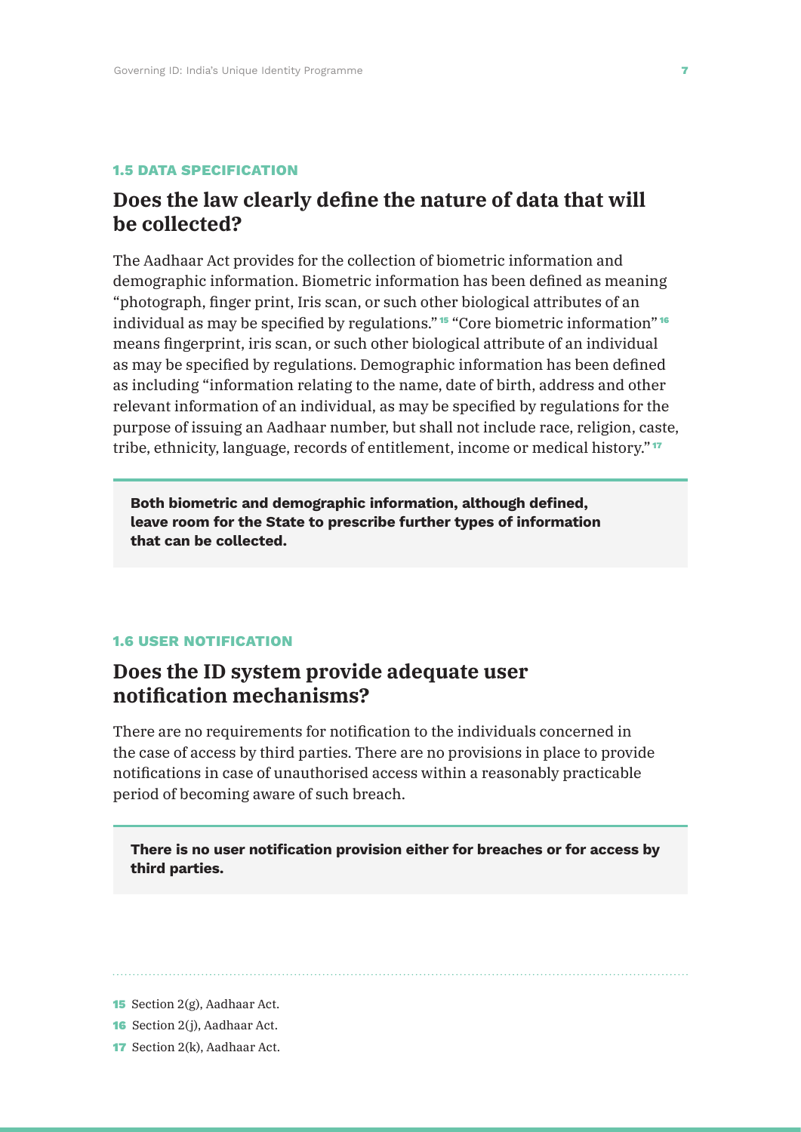#### **1.5 DATA SPECIFICATION**

### **Does the law clearly define the nature of data that will be collected?**

The Aadhaar Act provides for the collection of biometric information and demographic information. Biometric information has been defined as meaning "photograph, finger print, Iris scan, or such other biological attributes of an individual as may be specified by regulations." <sup>15</sup> "Core biometric information" <sup>16</sup> means fingerprint, iris scan, or such other biological attribute of an individual as may be specified by regulations. Demographic information has been defined as including "information relating to the name, date of birth, address and other relevant information of an individual, as may be specified by regulations for the purpose of issuing an Aadhaar number, but shall not include race, religion, caste, tribe, ethnicity, language, records of entitlement, income or medical history." <sup>17</sup>

**Both biometric and demographic information, although defined, leave room for the State to prescribe further types of information that can be collected.**

#### **1.6 USER NOTIFICATION**

### **Does the ID system provide adequate user notification mechanisms?**

There are no requirements for notification to the individuals concerned in the case of access by third parties. There are no provisions in place to provide notifications in case of unauthorised access within a reasonably practicable period of becoming aware of such breach.

**There is no user notification provision either for breaches or for access by third parties.**

15 Section 2(g), Aadhaar Act.

17 Section 2(k), Aadhaar Act.

<sup>16</sup> Section 2(j), Aadhaar Act.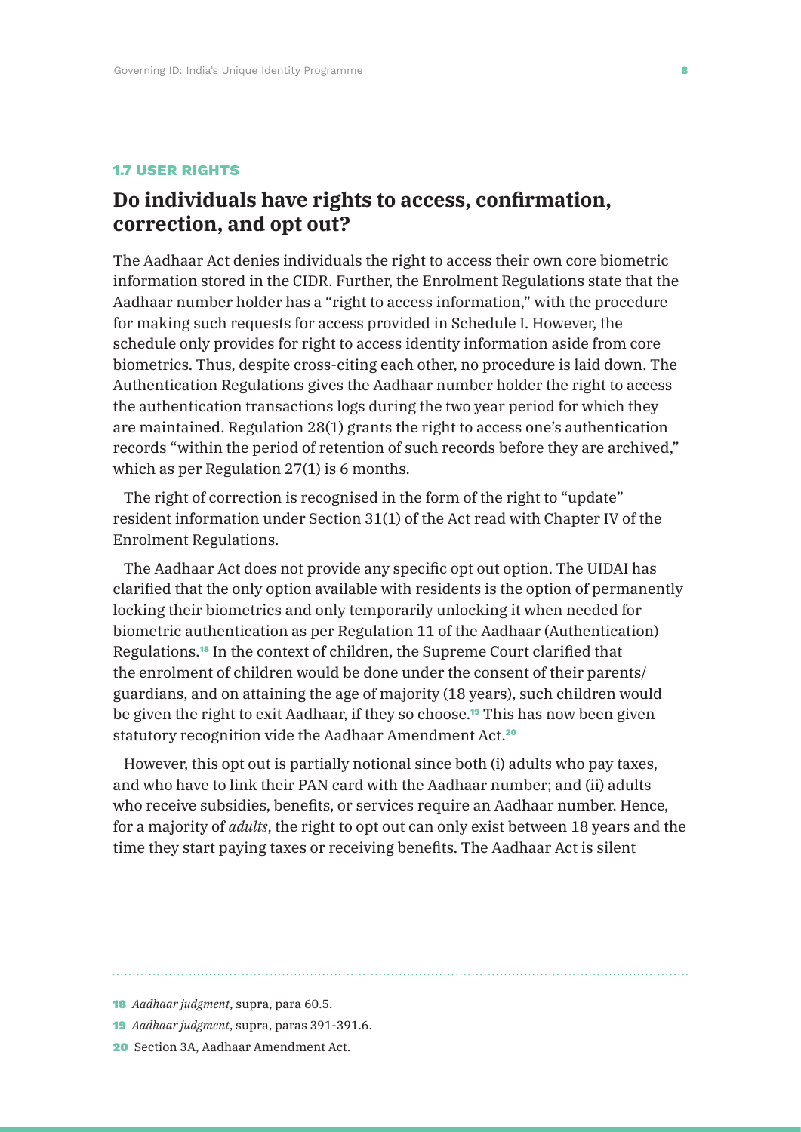#### **1.7 USER RIGHTS**

### **Do individuals have rights to access, confirmation, correction, and opt out?**

The Aadhaar Act denies individuals the right to access their own core biometric information stored in the CIDR. Further, the Enrolment Regulations state that the Aadhaar number holder has a "right to access information," with the procedure for making such requests for access provided in Schedule I. However, the schedule only provides for right to access identity information aside from core biometrics. Thus, despite cross-citing each other, no procedure is laid down. The Authentication Regulations gives the Aadhaar number holder the right to access the authentication transactions logs during the two year period for which they are maintained. Regulation 28(1) grants the right to access one's authentication records "within the period of retention of such records before they are archived," which as per Regulation 27(1) is 6 months.

The right of correction is recognised in the form of the right to "update" resident information under Section 31(1) of the Act read with Chapter IV of the Enrolment Regulations.

The Aadhaar Act does not provide any specific opt out option. The UIDAI has clarified that the only option available with residents is the option of permanently locking their biometrics and only temporarily unlocking it when needed for biometric authentication as per Regulation 11 of the Aadhaar (Authentication) Regulations.18 In the context of children, the Supreme Court clarified that the enrolment of children would be done under the consent of their parents/ guardians, and on attaining the age of majority (18 years), such children would be given the right to exit Aadhaar, if they so choose.19 This has now been given statutory recognition vide the Aadhaar Amendment Act.<sup>20</sup>

However, this opt out is partially notional since both (i) adults who pay taxes, and who have to link their PAN card with the Aadhaar number; and (ii) adults who receive subsidies, benefits, or services require an Aadhaar number. Hence, for a majority of *adults*, the right to opt out can only exist between 18 years and the time they start paying taxes or receiving benefits. The Aadhaar Act is silent

<sup>18</sup> *Aadhaar judgment*, supra, para 60.5.

<sup>19</sup> *Aadhaar judgment*, supra, paras 391-391.6.

<sup>20</sup> Section 3A, Aadhaar Amendment Act.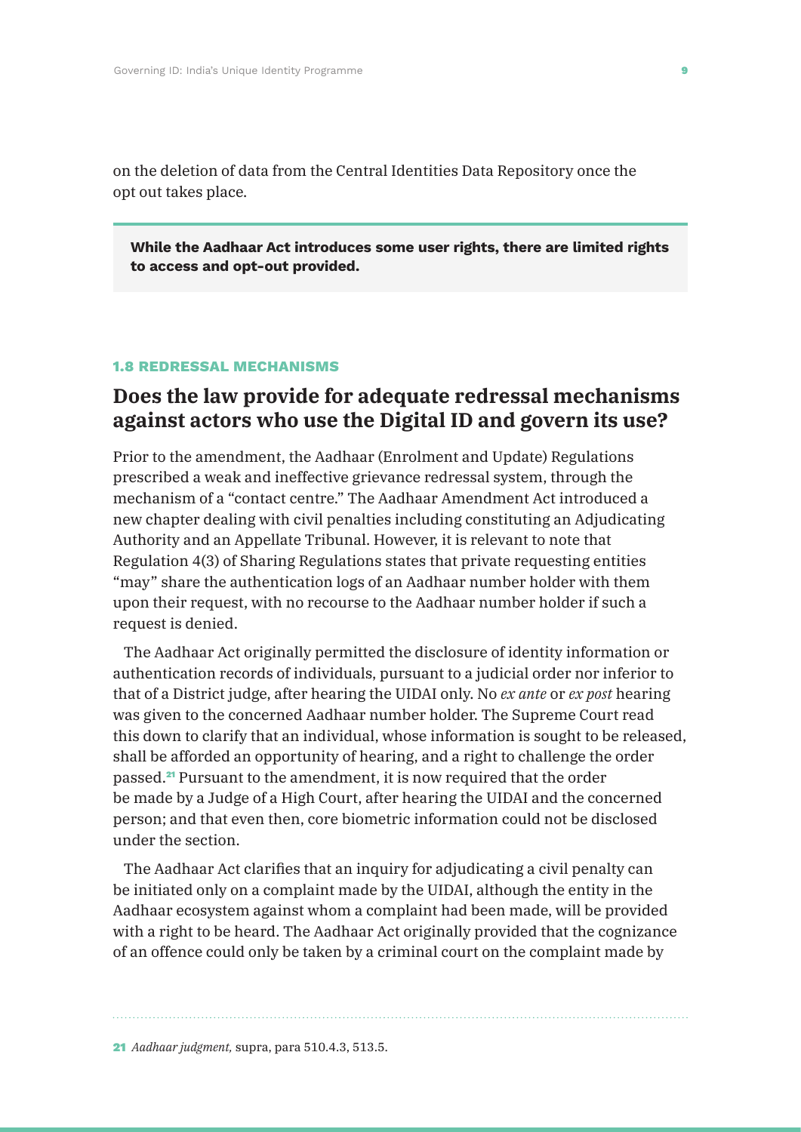on the deletion of data from the Central Identities Data Repository once the opt out takes place.

**While the Aadhaar Act introduces some user rights, there are limited rights to access and opt-out provided.**

#### **1.8 REDRESSAL MECHANISMS**

### **Does the law provide for adequate redressal mechanisms against actors who use the Digital ID and govern its use?**

Prior to the amendment, the Aadhaar (Enrolment and Update) Regulations prescribed a weak and ineffective grievance redressal system, through the mechanism of a "contact centre." The Aadhaar Amendment Act introduced a new chapter dealing with civil penalties including constituting an Adjudicating Authority and an Appellate Tribunal. However, it is relevant to note that Regulation 4(3) of Sharing Regulations states that private requesting entities "may" share the authentication logs of an Aadhaar number holder with them upon their request, with no recourse to the Aadhaar number holder if such a request is denied.

The Aadhaar Act originally permitted the disclosure of identity information or authentication records of individuals, pursuant to a judicial order nor inferior to that of a District judge, after hearing the UIDAI only. No *ex ante* or *ex post* hearing was given to the concerned Aadhaar number holder. The Supreme Court read this down to clarify that an individual, whose information is sought to be released, shall be afforded an opportunity of hearing, and a right to challenge the order passed.21 Pursuant to the amendment, it is now required that the order be made by a Judge of a High Court, after hearing the UIDAI and the concerned person; and that even then, core biometric information could not be disclosed under the section.

The Aadhaar Act clarifies that an inquiry for adjudicating a civil penalty can be initiated only on a complaint made by the UIDAI, although the entity in the Aadhaar ecosystem against whom a complaint had been made, will be provided with a right to be heard. The Aadhaar Act originally provided that the cognizance of an offence could only be taken by a criminal court on the complaint made by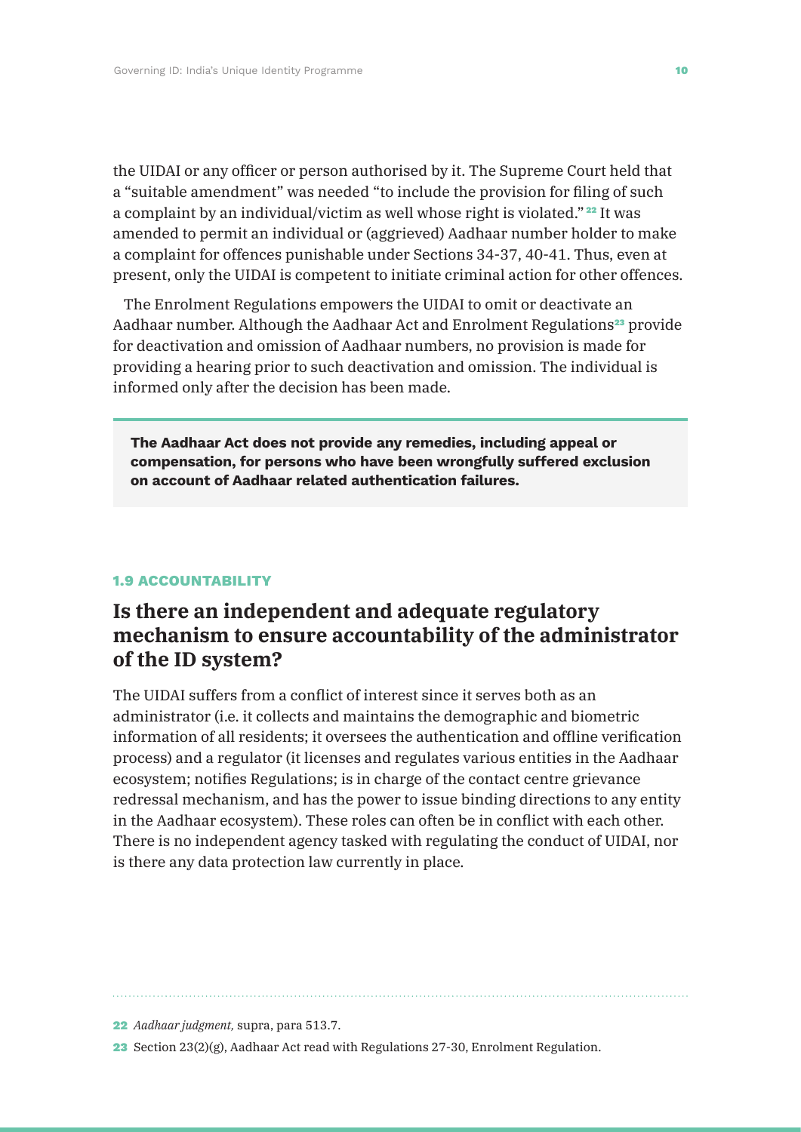the UIDAI or any officer or person authorised by it. The Supreme Court held that a "suitable amendment" was needed "to include the provision for filing of such a complaint by an individual/victim as well whose right is violated."<sup>22</sup> It was amended to permit an individual or (aggrieved) Aadhaar number holder to make a complaint for offences punishable under Sections 34-37, 40-41. Thus, even at present, only the UIDAI is competent to initiate criminal action for other offences.

The Enrolment Regulations empowers the UIDAI to omit or deactivate an Aadhaar number. Although the Aadhaar Act and Enrolment Regulations<sup>23</sup> provide for deactivation and omission of Aadhaar numbers, no provision is made for providing a hearing prior to such deactivation and omission. The individual is informed only after the decision has been made.

**The Aadhaar Act does not provide any remedies, including appeal or compensation, for persons who have been wrongfully suffered exclusion on account of Aadhaar related authentication failures.**

#### **1.9 ACCOUNTABILITY**

### **Is there an independent and adequate regulatory mechanism to ensure accountability of the administrator of the ID system?**

The UIDAI suffers from a conflict of interest since it serves both as an administrator (i.e. it collects and maintains the demographic and biometric information of all residents; it oversees the authentication and offline verification process) and a regulator (it licenses and regulates various entities in the Aadhaar ecosystem; notifies Regulations; is in charge of the contact centre grievance redressal mechanism, and has the power to issue binding directions to any entity in the Aadhaar ecosystem). These roles can often be in conflict with each other. There is no independent agency tasked with regulating the conduct of UIDAI, nor is there any data protection law currently in place.

22 *Aadhaar judgment,* supra, para 513.7.

23 Section 23(2)(g), Aadhaar Act read with Regulations 27-30, Enrolment Regulation.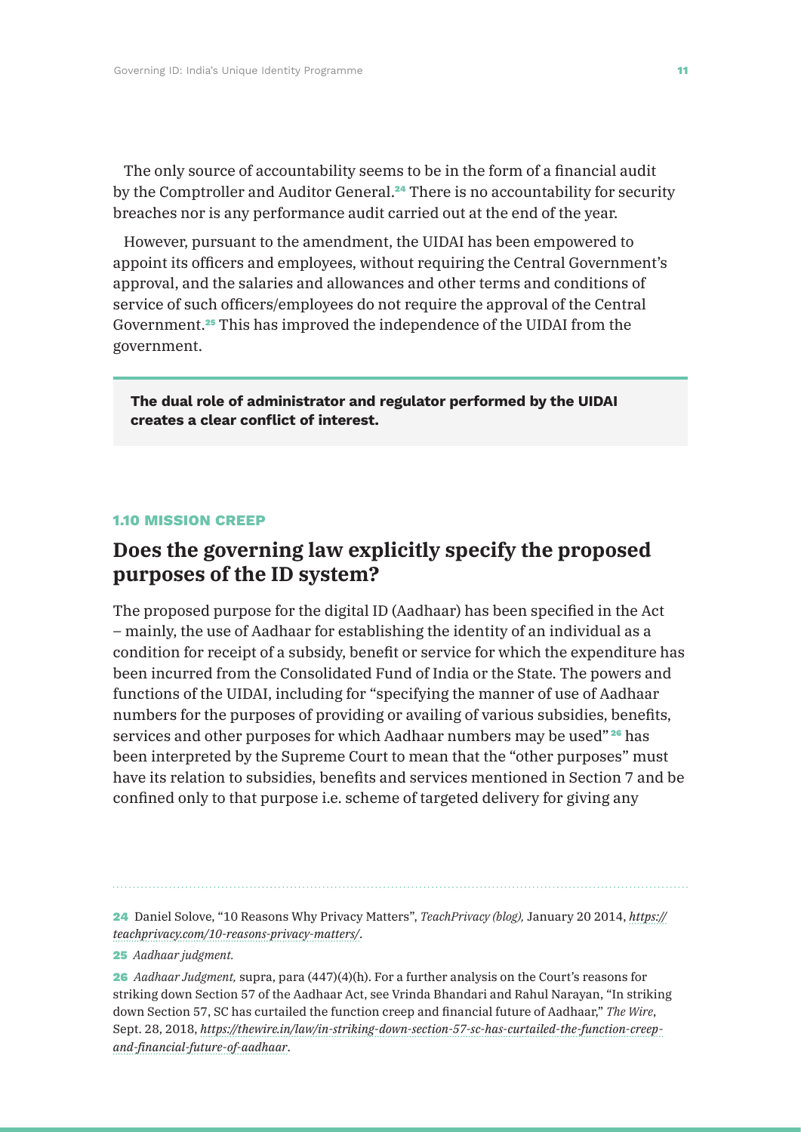The only source of accountability seems to be in the form of a financial audit by the Comptroller and Auditor General.<sup>24</sup> There is no accountability for security breaches nor is any performance audit carried out at the end of the year.

However, pursuant to the amendment, the UIDAI has been empowered to appoint its officers and employees, without requiring the Central Government's approval, and the salaries and allowances and other terms and conditions of service of such officers/employees do not require the approval of the Central Government.25 This has improved the independence of the UIDAI from the government.

**The dual role of administrator and regulator performed by the UIDAI creates a clear conflict of interest.**

#### **1.10 MISSION CREEP**

### **Does the governing law explicitly specify the proposed purposes of the ID system?**

The proposed purpose for the digital ID (Aadhaar) has been specified in the Act – mainly, the use of Aadhaar for establishing the identity of an individual as a condition for receipt of a subsidy, benefit or service for which the expenditure has been incurred from the Consolidated Fund of India or the State. The powers and functions of the UIDAI, including for "specifying the manner of use of Aadhaar numbers for the purposes of providing or availing of various subsidies, benefits, services and other purposes for which Aadhaar numbers may be used"<sup>26</sup> has been interpreted by the Supreme Court to mean that the "other purposes" must have its relation to subsidies, benefits and services mentioned in Section 7 and be confined only to that purpose i.e. scheme of targeted delivery for giving any

24 Daniel Solove, "10 Reasons Why Privacy Matters", *TeachPrivacy (blog),* January 20 2014, *https:// teachprivacy.com/10-reasons-privacy-matters/*.

25 *Aadhaar judgment.*

26 *Aadhaar Judgment,* supra, para (447)(4)(h). For a further analysis on the Court's reasons for striking down Section 57 of the Aadhaar Act, see Vrinda Bhandari and Rahul Narayan, "In striking down Section 57, SC has curtailed the function creep and financial future of Aadhaar," *The Wire*, Sept. 28, 2018, *https://thewire.in/law/in-striking-down-section-57-sc-has-curtailed-the-function-creepand-financial-future-of-aadhaar*.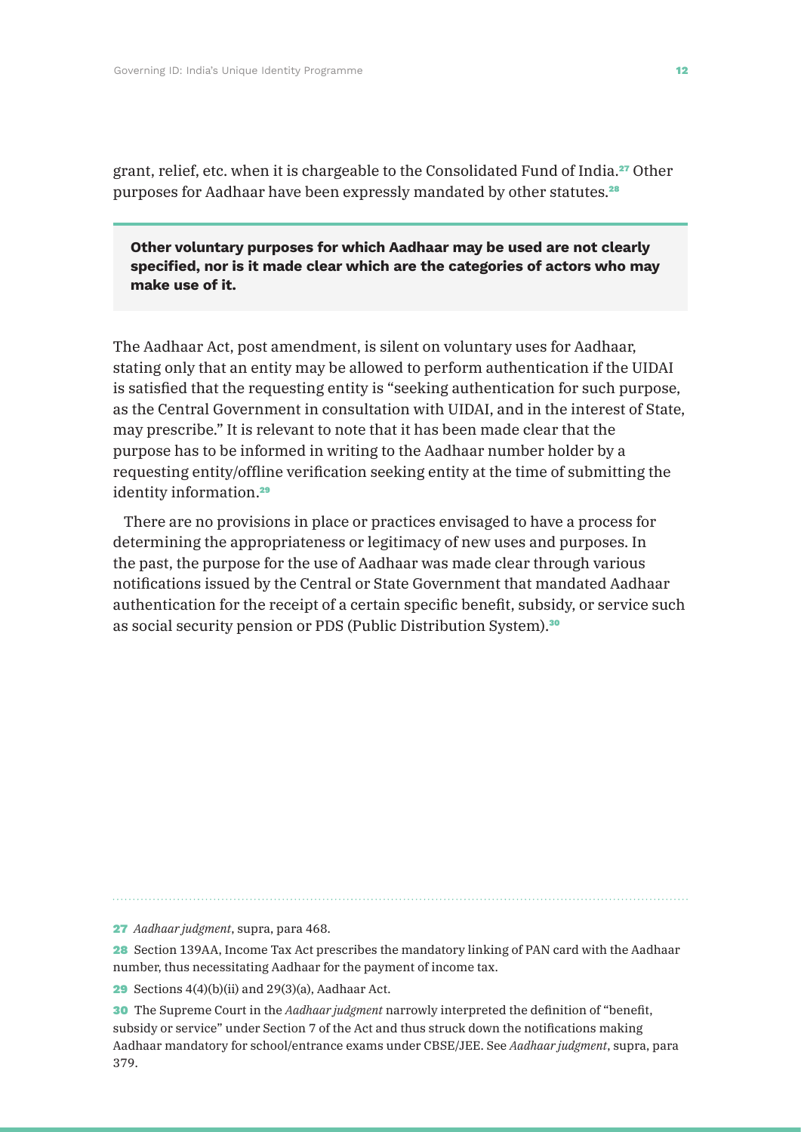grant, relief, etc. when it is chargeable to the Consolidated Fund of India.27 Other purposes for Aadhaar have been expressly mandated by other statutes.<sup>28</sup>

**Other voluntary purposes for which Aadhaar may be used are not clearly specified, nor is it made clear which are the categories of actors who may make use of it.**

The Aadhaar Act, post amendment, is silent on voluntary uses for Aadhaar, stating only that an entity may be allowed to perform authentication if the UIDAI is satisfied that the requesting entity is "seeking authentication for such purpose, as the Central Government in consultation with UIDAI, and in the interest of State, may prescribe." It is relevant to note that it has been made clear that the purpose has to be informed in writing to the Aadhaar number holder by a requesting entity/offline verification seeking entity at the time of submitting the identity information.<sup>29</sup>

There are no provisions in place or practices envisaged to have a process for determining the appropriateness or legitimacy of new uses and purposes. In the past, the purpose for the use of Aadhaar was made clear through various notifications issued by the Central or State Government that mandated Aadhaar authentication for the receipt of a certain specific benefit, subsidy, or service such as social security pension or PDS (Public Distribution System).<sup>30</sup>

27 *Aadhaar judgment*, supra, para 468.

28 Section 139AA, Income Tax Act prescribes the mandatory linking of PAN card with the Aadhaar number, thus necessitating Aadhaar for the payment of income tax.

**29** Sections  $4(4)(b)(ii)$  and  $29(3)(a)$ , Aadhaar Act.

30 The Supreme Court in the *Aadhaar judgment* narrowly interpreted the definition of "benefit, subsidy or service" under Section 7 of the Act and thus struck down the notifications making Aadhaar mandatory for school/entrance exams under CBSE/JEE. See *Aadhaar judgment*, supra, para 379.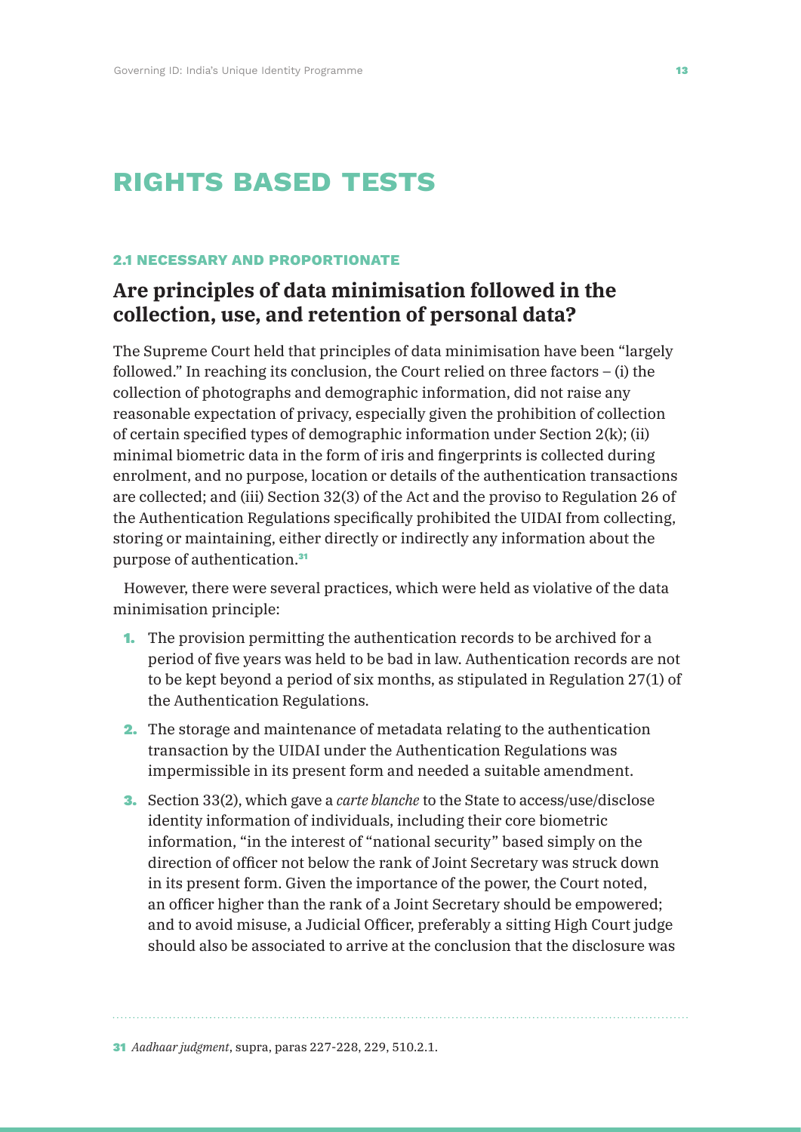# **rights based tests**

#### **2.1 NECESSARY AND PROPORTIONATE**

## **Are principles of data minimisation followed in the collection, use, and retention of personal data?**

The Supreme Court held that principles of data minimisation have been "largely followed." In reaching its conclusion, the Court relied on three factors – (i) the collection of photographs and demographic information, did not raise any reasonable expectation of privacy, especially given the prohibition of collection of certain specified types of demographic information under Section 2(k); (ii) minimal biometric data in the form of iris and fingerprints is collected during enrolment, and no purpose, location or details of the authentication transactions are collected; and (iii) Section 32(3) of the Act and the proviso to Regulation 26 of the Authentication Regulations specifically prohibited the UIDAI from collecting, storing or maintaining, either directly or indirectly any information about the purpose of authentication.<sup>31</sup>

However, there were several practices, which were held as violative of the data minimisation principle:

- 1. The provision permitting the authentication records to be archived for a period of five years was held to be bad in law. Authentication records are not to be kept beyond a period of six months, as stipulated in Regulation 27(1) of the Authentication Regulations.
- 2. The storage and maintenance of metadata relating to the authentication transaction by the UIDAI under the Authentication Regulations was impermissible in its present form and needed a suitable amendment.
- 3. Section 33(2), which gave a *carte blanche* to the State to access/use/disclose identity information of individuals, including their core biometric information, "in the interest of "national security" based simply on the direction of officer not below the rank of Joint Secretary was struck down in its present form. Given the importance of the power, the Court noted, an officer higher than the rank of a Joint Secretary should be empowered; and to avoid misuse, a Judicial Officer, preferably a sitting High Court judge should also be associated to arrive at the conclusion that the disclosure was

31 *Aadhaar judgment*, supra, paras 227-228, 229, 510.2.1.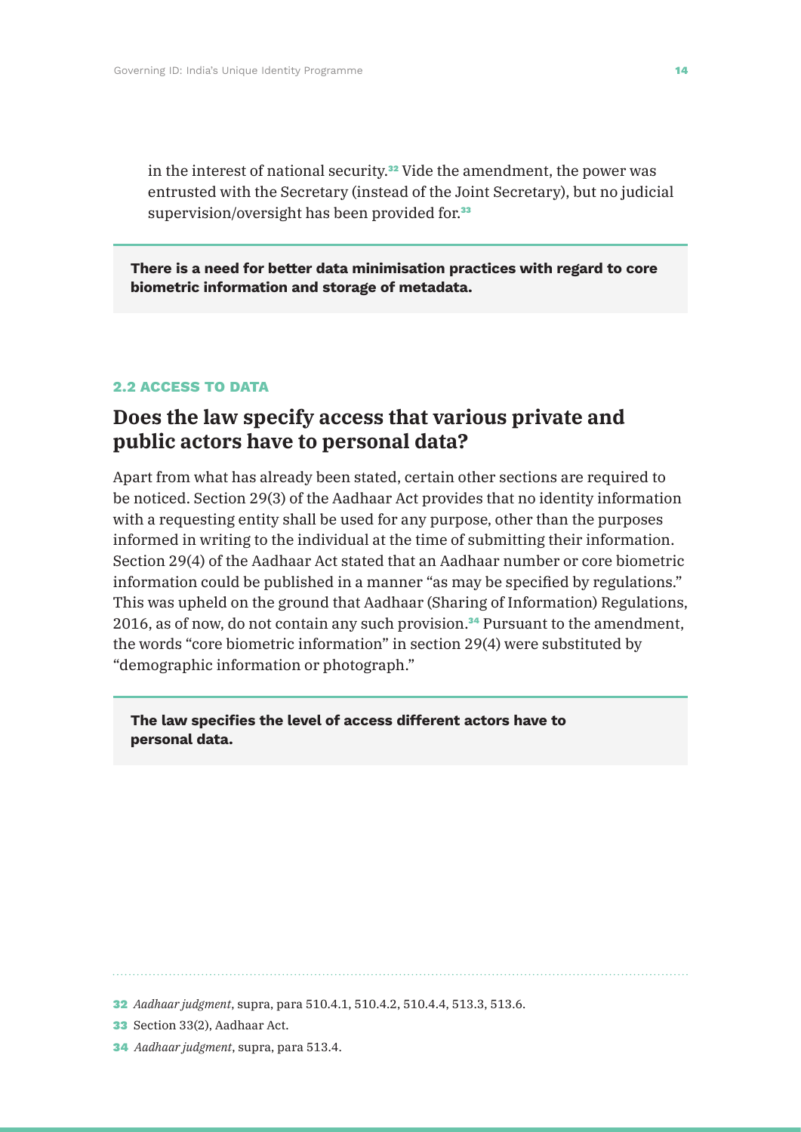in the interest of national security.<sup>32</sup> Vide the amendment, the power was entrusted with the Secretary (instead of the Joint Secretary), but no judicial supervision/oversight has been provided for.<sup>33</sup>

**There is a need for better data minimisation practices with regard to core biometric information and storage of metadata.**

#### **2.2 ACCESS TO DATA**

### **Does the law specify access that various private and public actors have to personal data?**

Apart from what has already been stated, certain other sections are required to be noticed. Section 29(3) of the Aadhaar Act provides that no identity information with a requesting entity shall be used for any purpose, other than the purposes informed in writing to the individual at the time of submitting their information. Section 29(4) of the Aadhaar Act stated that an Aadhaar number or core biometric information could be published in a manner "as may be specified by regulations." This was upheld on the ground that Aadhaar (Sharing of Information) Regulations, 2016, as of now, do not contain any such provision.<sup>34</sup> Pursuant to the amendment, the words "core biometric information" in section 29(4) were substituted by "demographic information or photograph."

**The law specifies the level of access different actors have to personal data.**

- 33 Section 33(2), Aadhaar Act.
- 34 *Aadhaar judgment*, supra, para 513.4.

<sup>32</sup> *Aadhaar judgment*, supra, para 510.4.1, 510.4.2, 510.4.4, 513.3, 513.6.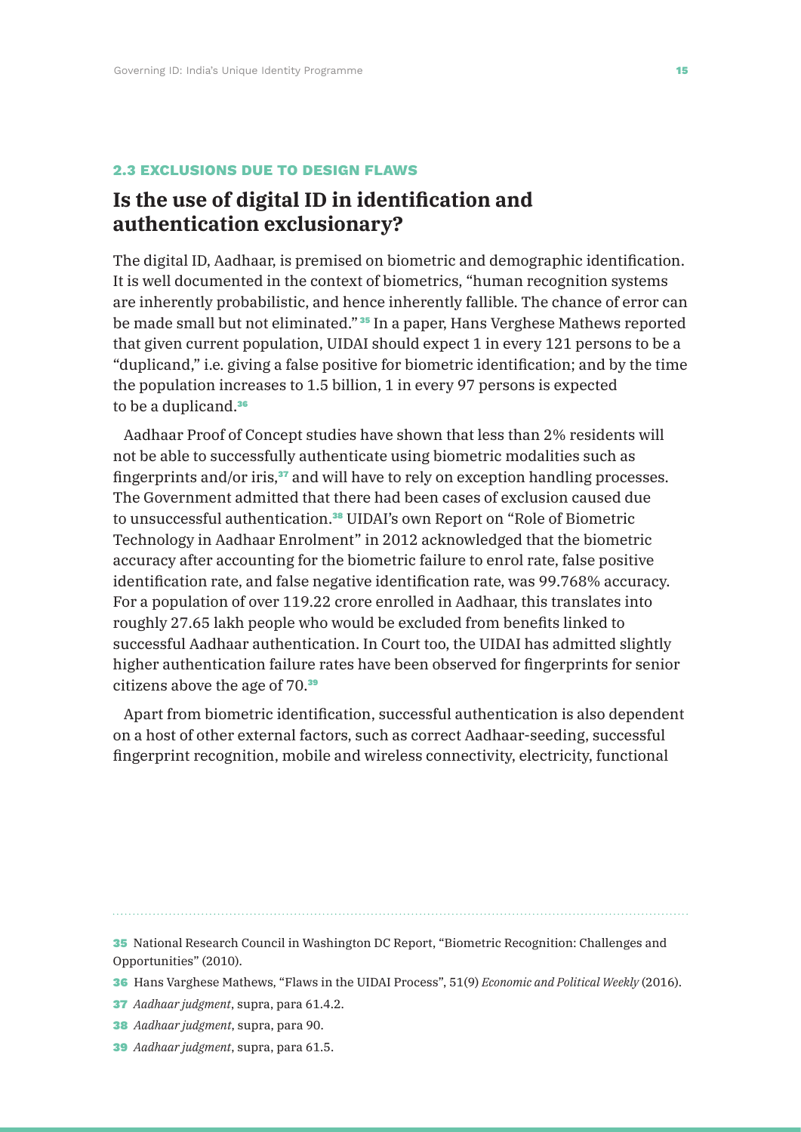#### **2.3 EXCLUSIONS DUE TO DESIGN FLAWS**

## **Is the use of digital ID in identification and authentication exclusionary?**

The digital ID, Aadhaar, is premised on biometric and demographic identification. It is well documented in the context of biometrics, "human recognition systems are inherently probabilistic, and hence inherently fallible. The chance of error can be made small but not eliminated." <sup>35</sup> In a paper, Hans Verghese Mathews reported that given current population, UIDAI should expect 1 in every 121 persons to be a "duplicand," i.e. giving a false positive for biometric identification; and by the time the population increases to 1.5 billion, 1 in every 97 persons is expected to be a duplicand.<sup>36</sup>

Aadhaar Proof of Concept studies have shown that less than 2% residents will not be able to successfully authenticate using biometric modalities such as fingerprints and/or iris,<sup>37</sup> and will have to rely on exception handling processes. The Government admitted that there had been cases of exclusion caused due to unsuccessful authentication.38 UIDAI's own Report on "Role of Biometric Technology in Aadhaar Enrolment" in 2012 acknowledged that the biometric accuracy after accounting for the biometric failure to enrol rate, false positive identification rate, and false negative identification rate, was 99.768% accuracy. For a population of over 119.22 crore enrolled in Aadhaar, this translates into roughly 27.65 lakh people who would be excluded from benefits linked to successful Aadhaar authentication. In Court too, the UIDAI has admitted slightly higher authentication failure rates have been observed for fingerprints for senior citizens above the age of 70.<sup>39</sup>

Apart from biometric identification, successful authentication is also dependent on a host of other external factors, such as correct Aadhaar-seeding, successful fingerprint recognition, mobile and wireless connectivity, electricity, functional

35 National Research Council in Washington DC Report, "Biometric Recognition: Challenges and Opportunities" (2010).

36 Hans Varghese Mathews, "Flaws in the UIDAI Process", 51(9) *Economic and Political Weekly* (2016).

37 *Aadhaar judgment*, supra, para 61.4.2.

- 38 *Aadhaar judgment*, supra, para 90.
- 39 *Aadhaar judgment*, supra, para 61.5.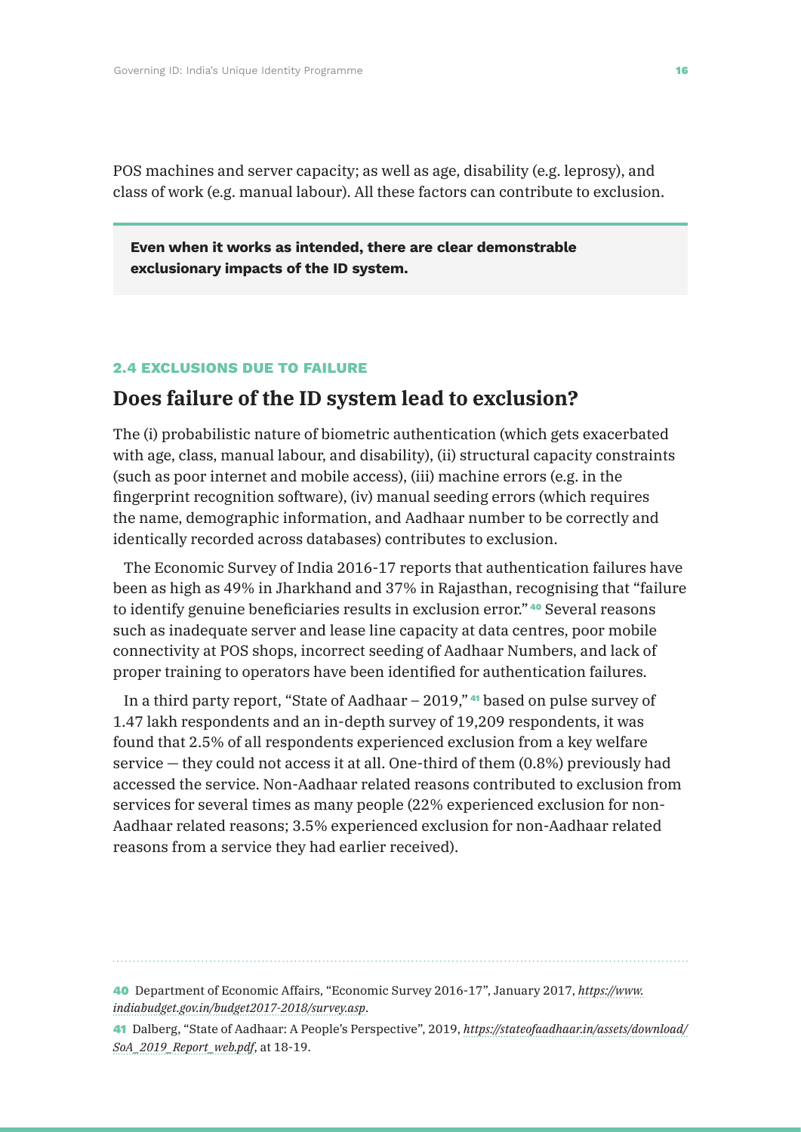POS machines and server capacity; as well as age, disability (e.g. leprosy), and class of work (e.g. manual labour). All these factors can contribute to exclusion.

**Even when it works as intended, there are clear demonstrable exclusionary impacts of the ID system.**

#### **2.4 EXCLUSIONS DUE TO FAILURE**

### **Does failure of the ID system lead to exclusion?**

The (i) probabilistic nature of biometric authentication (which gets exacerbated with age, class, manual labour, and disability), (ii) structural capacity constraints (such as poor internet and mobile access), (iii) machine errors (e.g. in the fingerprint recognition software), (iv) manual seeding errors (which requires the name, demographic information, and Aadhaar number to be correctly and identically recorded across databases) contributes to exclusion.

The Economic Survey of India 2016-17 reports that authentication failures have been as high as 49% in Jharkhand and 37% in Rajasthan, recognising that "failure to identify genuine beneficiaries results in exclusion error." <sup>40</sup> Several reasons such as inadequate server and lease line capacity at data centres, poor mobile connectivity at POS shops, incorrect seeding of Aadhaar Numbers, and lack of proper training to operators have been identified for authentication failures.

In a third party report, "State of Aadhaar – 2019," <sup>41</sup> based on pulse survey of 1.47 lakh respondents and an in-depth survey of 19,209 respondents, it was found that 2.5% of all respondents experienced exclusion from a key welfare service — they could not access it at all. One-third of them (0.8%) previously had accessed the service. Non-Aadhaar related reasons contributed to exclusion from services for several times as many people (22% experienced exclusion for non-Aadhaar related reasons; 3.5% experienced exclusion for non-Aadhaar related reasons from a service they had earlier received).

40 Department of Economic Affairs, "Economic Survey 2016-17", January 2017, *https://www. indiabudget.gov.in/budget2017-2018/survey.asp*.

41 Dalberg, "State of Aadhaar: A People's Perspective", 2019, *https://stateofaadhaar.in/assets/download/ SoA\_2019\_Report\_web.pdf*, at 18-19.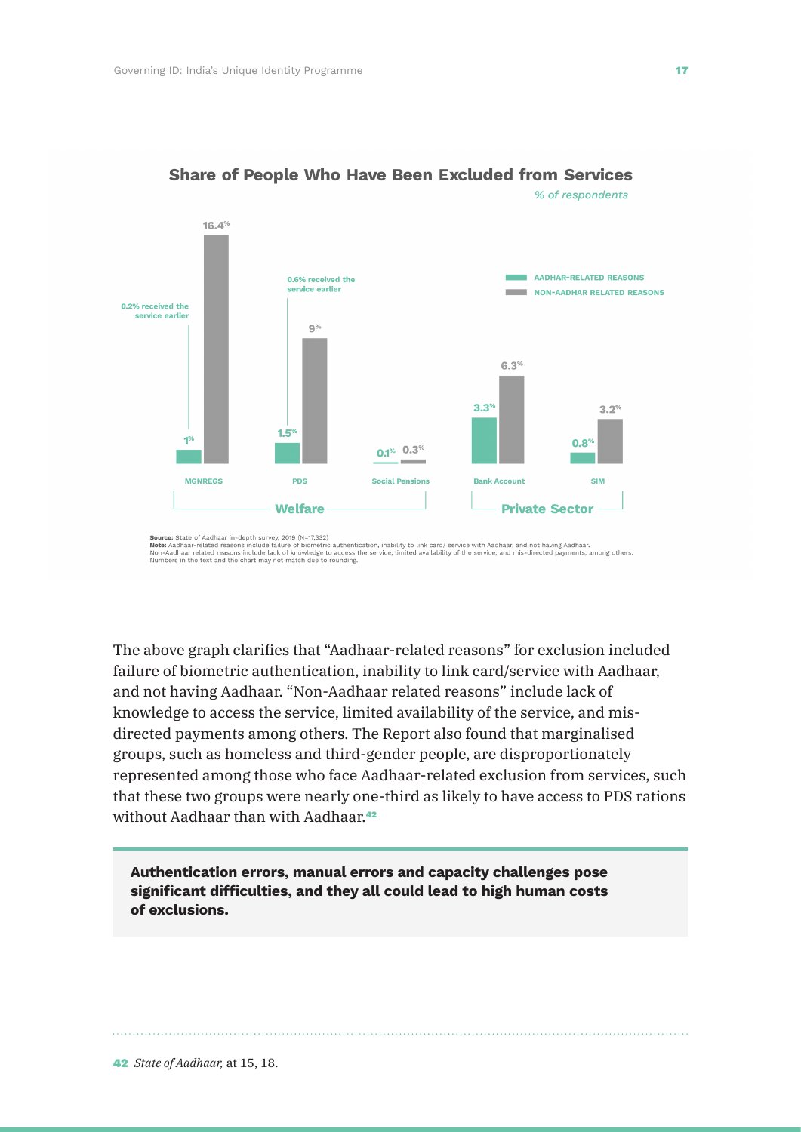

#### **Share of People Who Have Been Excluded from Services** % of respondents

**Source:** State or Asonaar in-depth survey, 2019 (N=1,3.22)<br>**Note:** Aadhaar-related reasons include failure of biometric authentication, inability to link card/ service with Aadhaar, and not having Aadhaar.<br>Non-Aadhaar rel

The above graph clarifies that "Aadhaar-related reasons" for exclusion included failure of biometric authentication, inability to link card/service with Aadhaar, and not having Aadhaar. "Non-Aadhaar related reasons" include lack of knowledge to access the service, limited availability of the service, and misdirected payments among others. The Report also found that marginalised groups, such as homeless and third-gender people, are disproportionately represented among those who face Aadhaar-related exclusion from services, such that these two groups were nearly one-third as likely to have access to PDS rations without Aadhaar than with Aadhaar.<sup>42</sup>

**Authentication errors, manual errors and capacity challenges pose significant difficulties, and they all could lead to high human costs of exclusions.**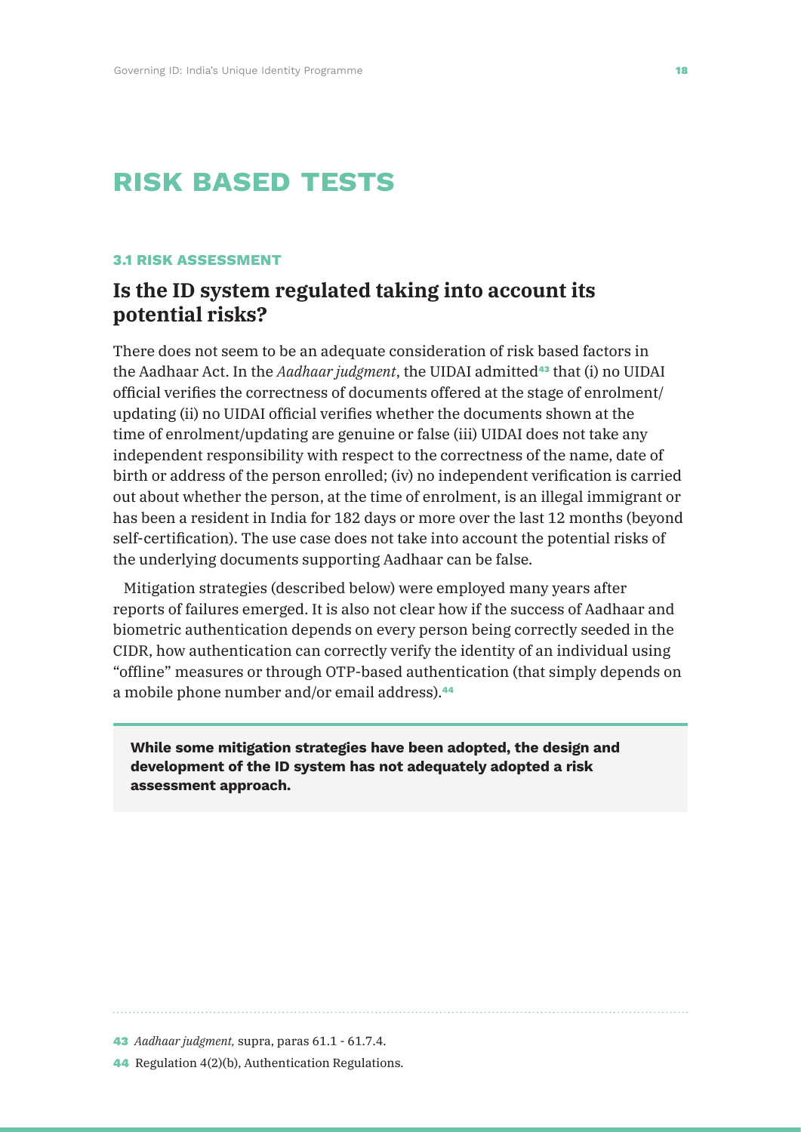# **risk based tests**

#### **3.1 RISK ASSESSMENT**

### **Is the ID system regulated taking into account its potential risks?**

There does not seem to be an adequate consideration of risk based factors in the Aadhaar Act. In the *Aadhaar judgment*, the UIDAI admitted<sup>43</sup> that (i) no UIDAI official verifies the correctness of documents offered at the stage of enrolment/ updating (ii) no UIDAI official verifies whether the documents shown at the time of enrolment/updating are genuine or false (iii) UIDAI does not take any independent responsibility with respect to the correctness of the name, date of birth or address of the person enrolled; (iv) no independent verification is carried out about whether the person, at the time of enrolment, is an illegal immigrant or has been a resident in India for 182 days or more over the last 12 months (beyond self-certification). The use case does not take into account the potential risks of the underlying documents supporting Aadhaar can be false.

Mitigation strategies (described below) were employed many years after reports of failures emerged. It is also not clear how if the success of Aadhaar and biometric authentication depends on every person being correctly seeded in the CIDR, how authentication can correctly verify the identity of an individual using "offline" measures or through OTP-based authentication (that simply depends on a mobile phone number and/or email address).<sup>44</sup>

**While some mitigation strategies have been adopted, the design and development of the ID system has not adequately adopted a risk assessment approach.**

<sup>43</sup> *Aadhaar judgment,* supra, paras 61.1 - 61.7.4.

<sup>44</sup> Regulation 4(2)(b), Authentication Regulations.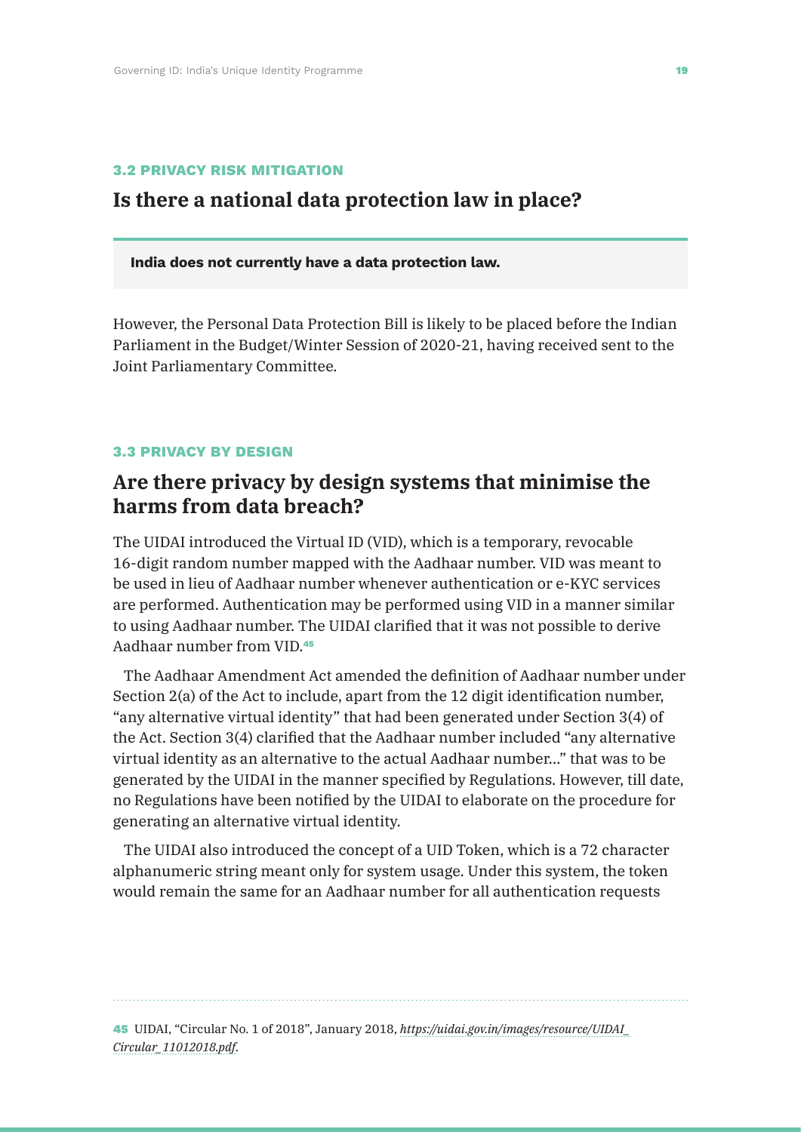#### **3.2 PRIVACY RISK MITIGATION**

### **Is there a national data protection law in place?**

#### **India does not currently have a data protection law.**

However, the Personal Data Protection Bill is likely to be placed before the Indian Parliament in the Budget/Winter Session of 2020-21, having received sent to the Joint Parliamentary Committee.

#### **3.3 PRIVACY BY DESIGN**

## **Are there privacy by design systems that minimise the harms from data breach?**

The UIDAI introduced the Virtual ID (VID), which is a temporary, revocable 16-digit random number mapped with the Aadhaar number. VID was meant to be used in lieu of Aadhaar number whenever authentication or e-KYC services are performed. Authentication may be performed using VID in a manner similar to using Aadhaar number. The UIDAI clarified that it was not possible to derive Aadhaar number from VID.<sup>45</sup>

The Aadhaar Amendment Act amended the definition of Aadhaar number under Section 2(a) of the Act to include, apart from the 12 digit identification number, "any alternative virtual identity" that had been generated under Section 3(4) of the Act. Section 3(4) clarified that the Aadhaar number included "any alternative virtual identity as an alternative to the actual Aadhaar number…" that was to be generated by the UIDAI in the manner specified by Regulations. However, till date, no Regulations have been notified by the UIDAI to elaborate on the procedure for generating an alternative virtual identity.

The UIDAI also introduced the concept of a UID Token, which is a 72 character alphanumeric string meant only for system usage. Under this system, the token would remain the same for an Aadhaar number for all authentication requests

45 UIDAI, "Circular No. 1 of 2018", January 2018, *https://uidai.gov.in/images/resource/UIDAI\_ Circular\_11012018.pdf*.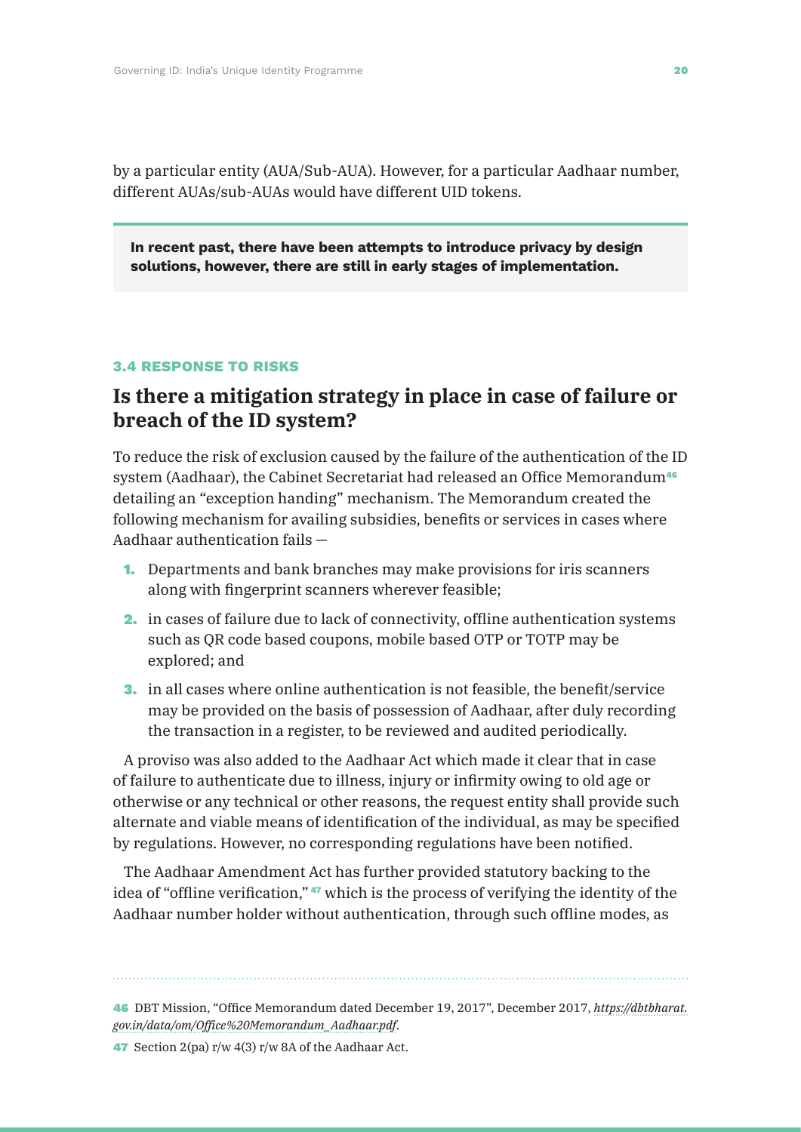by a particular entity (AUA/Sub-AUA). However, for a particular Aadhaar number, different AUAs/sub-AUAs would have different UID tokens.

**In recent past, there have been attempts to introduce privacy by design solutions, however, there are still in early stages of implementation.**

#### **3.4 RESPONSE TO RISKS**

### **Is there a mitigation strategy in place in case of failure or breach of the ID system?**

To reduce the risk of exclusion caused by the failure of the authentication of the ID system (Aadhaar), the Cabinet Secretariat had released an Office Memorandum<sup>46</sup> detailing an "exception handing" mechanism. The Memorandum created the following mechanism for availing subsidies, benefits or services in cases where Aadhaar authentication fails —

- 1. Departments and bank branches may make provisions for iris scanners along with fingerprint scanners wherever feasible;
- 2. in cases of failure due to lack of connectivity, offline authentication systems such as QR code based coupons, mobile based OTP or TOTP may be explored; and
- 3. in all cases where online authentication is not feasible, the benefit/service may be provided on the basis of possession of Aadhaar, after duly recording the transaction in a register, to be reviewed and audited periodically.

A proviso was also added to the Aadhaar Act which made it clear that in case of failure to authenticate due to illness, injury or infirmity owing to old age or otherwise or any technical or other reasons, the request entity shall provide such alternate and viable means of identification of the individual, as may be specified by regulations. However, no corresponding regulations have been notified.

The Aadhaar Amendment Act has further provided statutory backing to the idea of "offline verification," <sup>47</sup> which is the process of verifying the identity of the Aadhaar number holder without authentication, through such offline modes, as

#### 46 DBT Mission, "Office Memorandum dated December 19, 2017", December 2017, *https://dbtbharat. gov.in/data/om/Office%20Memorandum\_Aadhaar.pdf*.

47 Section 2(pa) r/w 4(3) r/w 8A of the Aadhaar Act.